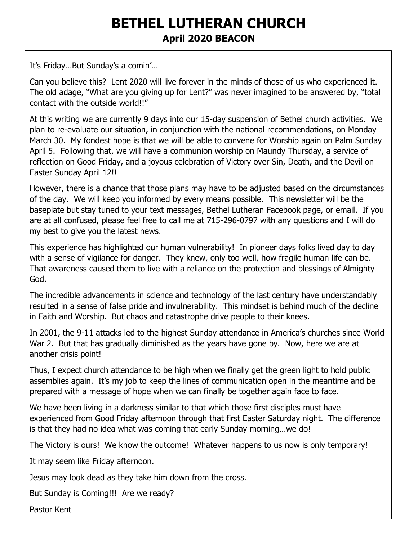# **BETHEL LUTHERAN CHURCH April 2020 BEACON**

It's Friday…But Sunday's a comin'…

Can you believe this? Lent 2020 will live forever in the minds of those of us who experienced it. The old adage, "What are you giving up for Lent?" was never imagined to be answered by, "total contact with the outside world!!"

At this writing we are currently 9 days into our 15-day suspension of Bethel church activities. We plan to re-evaluate our situation, in conjunction with the national recommendations, on Monday March 30. My fondest hope is that we will be able to convene for Worship again on Palm Sunday April 5. Following that, we will have a communion worship on Maundy Thursday, a service of reflection on Good Friday, and a joyous celebration of Victory over Sin, Death, and the Devil on Easter Sunday April 12!!

However, there is a chance that those plans may have to be adjusted based on the circumstances of the day. We will keep you informed by every means possible. This newsletter will be the baseplate but stay tuned to your text messages, Bethel Lutheran Facebook page, or email. If you are at all confused, please feel free to call me at 715-296-0797 with any questions and I will do my best to give you the latest news.

This experience has highlighted our human vulnerability! In pioneer days folks lived day to day with a sense of vigilance for danger. They knew, only too well, how fragile human life can be. That awareness caused them to live with a reliance on the protection and blessings of Almighty God.

The incredible advancements in science and technology of the last century have understandably resulted in a sense of false pride and invulnerability. This mindset is behind much of the decline in Faith and Worship. But chaos and catastrophe drive people to their knees.

In 2001, the 9-11 attacks led to the highest Sunday attendance in America's churches since World War 2. But that has gradually diminished as the years have gone by. Now, here we are at another crisis point!

Thus, I expect church attendance to be high when we finally get the green light to hold public assemblies again. It's my job to keep the lines of communication open in the meantime and be prepared with a message of hope when we can finally be together again face to face.

We have been living in a darkness similar to that which those first disciples must have experienced from Good Friday afternoon through that first Easter Saturday night. The difference is that they had no idea what was coming that early Sunday morning…we do!

The Victory is ours! We know the outcome! Whatever happens to us now is only temporary!

It may seem like Friday afternoon.

Jesus may look dead as they take him down from the cross.

But Sunday is Coming!!! Are we ready?

Pastor Kent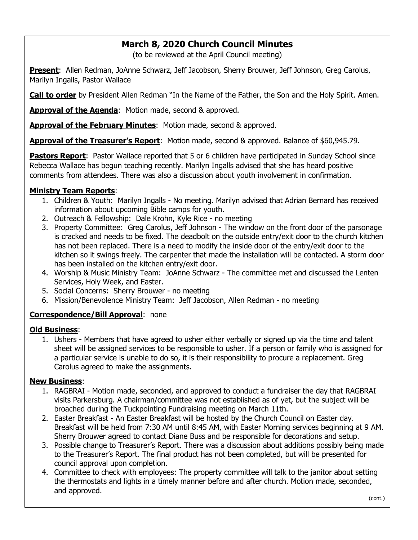# **March 8, 2020 Church Council Minutes**

(to be reviewed at the April Council meeting)

**Present**: Allen Redman, JoAnne Schwarz, Jeff Jacobson, Sherry Brouwer, Jeff Johnson, Greg Carolus, Marilyn Ingalls, Pastor Wallace

**Call to order** by President Allen Redman "In the Name of the Father, the Son and the Holy Spirit. Amen.

Approval of the Agenda: Motion made, second & approved.

**Approval of the February Minutes**: Motion made, second & approved.

**Approval of the Treasurer's Report**: Motion made, second & approved. Balance of \$60,945.79.

**Pastors Report**: Pastor Wallace reported that 5 or 6 children have participated in Sunday School since Rebecca Wallace has begun teaching recently. Marilyn Ingalls advised that she has heard positive comments from attendees. There was also a discussion about youth involvement in confirmation.

### **Ministry Team Reports**:

- 1. Children & Youth: Marilyn Ingalls No meeting. Marilyn advised that Adrian Bernard has received information about upcoming Bible camps for youth.
- 2. Outreach & Fellowship: Dale Krohn, Kyle Rice no meeting
- 3. Property Committee: Greg Carolus, Jeff Johnson The window on the front door of the parsonage is cracked and needs to be fixed. The deadbolt on the outside entry/exit door to the church kitchen has not been replaced. There is a need to modify the inside door of the entry/exit door to the kitchen so it swings freely. The carpenter that made the installation will be contacted. A storm door has been installed on the kitchen entry/exit door.
- 4. Worship & Music Ministry Team: JoAnne Schwarz The committee met and discussed the Lenten Services, Holy Week, and Easter.
- 5. Social Concerns: Sherry Brouwer no meeting
- 6. Mission/Benevolence Ministry Team: Jeff Jacobson, Allen Redman no meeting

#### **Correspondence/Bill Approval**: none

#### **Old Business**:

1. Ushers - Members that have agreed to usher either verbally or signed up via the time and talent sheet will be assigned services to be responsible to usher. If a person or family who is assigned for a particular service is unable to do so, it is their responsibility to procure a replacement. Greg Carolus agreed to make the assignments.

#### **New Business**:

- 1. RAGBRAI Motion made, seconded, and approved to conduct a fundraiser the day that RAGBRAI visits Parkersburg. A chairman/committee was not established as of yet, but the subject will be broached during the Tuckpointing Fundraising meeting on March 11th.
- 2. Easter Breakfast An Easter Breakfast will be hosted by the Church Council on Easter day. Breakfast will be held from 7:30 AM until 8:45 AM, with Easter Morning services beginning at 9 AM. Sherry Brouwer agreed to contact Diane Buss and be responsible for decorations and setup.
- 3. Possible change to Treasurer's Report. There was a discussion about additions possibly being made to the Treasurer's Report. The final product has not been completed, but will be presented for council approval upon completion.
- 4. Committee to check with employees: The property committee will talk to the janitor about setting the thermostats and lights in a timely manner before and after church. Motion made, seconded, and approved.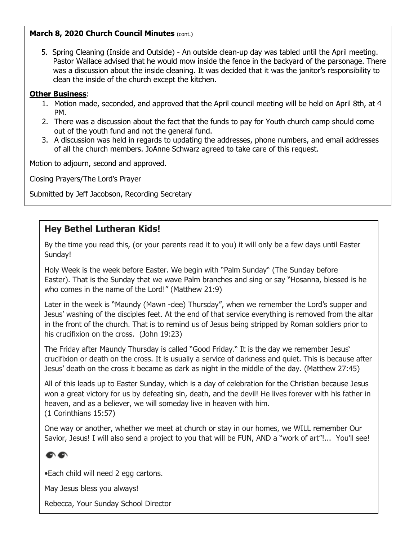### **March 8, 2020 Church Council Minutes** (cont.)

 5. Spring Cleaning (Inside and Outside) - An outside clean-up day was tabled until the April meeting. Pastor Wallace advised that he would mow inside the fence in the backyard of the parsonage. There was a discussion about the inside cleaning. It was decided that it was the janitor's responsibility to clean the inside of the church except the kitchen.

#### **Other Business**:

- 1. Motion made, seconded, and approved that the April council meeting will be held on April 8th, at 4 PM.
- 2. There was a discussion about the fact that the funds to pay for Youth church camp should come out of the youth fund and not the general fund.
- 3. A discussion was held in regards to updating the addresses, phone numbers, and email addresses of all the church members. JoAnne Schwarz agreed to take care of this request.

Motion to adjourn, second and approved.

Closing Prayers/The Lord's Prayer

Submitted by Jeff Jacobson, Recording Secretary

## **Hey Bethel Lutheran Kids!**

By the time you read this, (or your parents read it to you) it will only be a few days until Easter Sunday!

Holy Week is the week before Easter. We begin with "Palm Sunday" (The Sunday before Easter). That is the Sunday that we wave Palm branches and sing or say "Hosanna, blessed is he who comes in the name of the Lord!" (Matthew 21:9)

Later in the week is "Maundy (Mawn -dee) Thursday", when we remember the Lord's supper and Jesus' washing of the disciples feet. At the end of that service everything is removed from the altar in the front of the church. That is to remind us of Jesus being stripped by Roman soldiers prior to his crucifixion on the cross. (John 19:23)

The Friday after Maundy Thursday is called "Good Friday." It is the day we remember Jesus' crucifixion or death on the cross. It is usually a service of darkness and quiet. This is because after Jesus' death on the cross it became as dark as night in the middle of the day. (Matthew 27:45)

All of this leads up to Easter Sunday, which is a day of celebration for the Christian because Jesus won a great victory for us by defeating sin, death, and the devil! He lives forever with his father in heaven, and as a believer, we will someday live in heaven with him. (1 Corinthians 15:57)

One way or another, whether we meet at church or stay in our homes, we WILL remember Our Savior, Jesus! I will also send a project to you that will be FUN, AND a "work of art"!... You'll see!

## ை

•Each child will need 2 egg cartons.

May Jesus bless you always!

Rebecca, Your Sunday School Director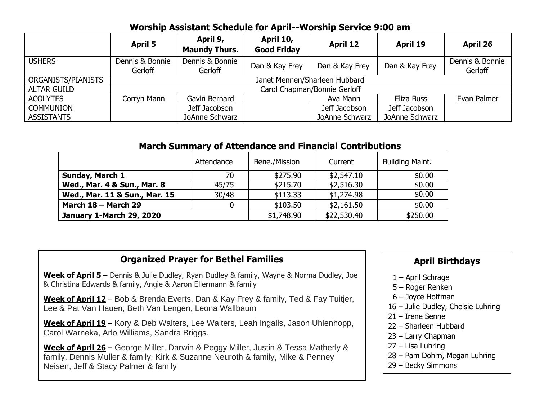# **Worship Assistant Schedule for April--Worship Service 9:00 am**

|                    | <b>April 5</b>                | April 9,<br><b>Maundy Thurs.</b> | April 10,<br><b>Good Friday</b> | <b>April 12</b> | <b>April 19</b> | April 26                   |  |
|--------------------|-------------------------------|----------------------------------|---------------------------------|-----------------|-----------------|----------------------------|--|
| <b>USHERS</b>      | Dennis & Bonnie<br>Gerloff    | Dennis & Bonnie<br>Gerloff       | Dan & Kay Frey                  | Dan & Kay Frey  | Dan & Kay Frey  | Dennis & Bonnie<br>Gerloff |  |
| ORGANISTS/PIANISTS | Janet Mennen/Sharleen Hubbard |                                  |                                 |                 |                 |                            |  |
| <b>ALTAR GUILD</b> | Carol Chapman/Bonnie Gerloff  |                                  |                                 |                 |                 |                            |  |
| <b>ACOLYTES</b>    | Corryn Mann                   | Gavin Bernard                    |                                 | Ava Mann        | Eliza Buss      | Evan Palmer                |  |
| <b>COMMUNION</b>   |                               | Jeff Jacobson                    |                                 | Jeff Jacobson   | Jeff Jacobson   |                            |  |
| <b>ASSISTANTS</b>  |                               | JoAnne Schwarz                   |                                 | JoAnne Schwarz  | JoAnne Schwarz  |                            |  |

## **March Summary of Attendance and Financial Contributions**

|                                 | Attendance | Bene./Mission | Current     | <b>Building Maint.</b> |
|---------------------------------|------------|---------------|-------------|------------------------|
| <b>Sunday, March 1</b>          | 70         | \$275.90      | \$2,547.10  | \$0.00                 |
| Wed., Mar. 4 & Sun., Mar. 8     | 45/75      | \$215.70      | \$2,516.30  | \$0.00                 |
| Wed., Mar. 11 & Sun., Mar. 15   | 30/48      | \$113.33      | \$1,274.98  | \$0.00                 |
| March 18 - March 29             |            | \$103.50      | \$2,161.50  | \$0.00                 |
| <b>January 1-March 29, 2020</b> |            | \$1,748.90    | \$22,530.40 | \$250.00               |

## **Organized Prayer for Bethel Families**

**Week of April 5** – Dennis & Julie Dudley, Ryan Dudley & family, Wayne & Norma Dudley, Joe & Christina Edwards & family, Angie & Aaron Ellermann & family

**Week of April 12** – Bob & Brenda Everts, Dan & Kay Frey & family, Ted & Fay Tuitjer, Lee & Pat Van Hauen, Beth Van Lengen, Leona Wallbaum

**Week of April 19** – Kory & Deb Walters, Lee Walters, Leah Ingalls, Jason Uhlenhopp, Carol Warneka, Arlo Williams, Sandra Briggs.

**Week of April 26** – George Miller, Darwin & Peggy Miller, Justin & Tessa Matherly & family, Dennis Muller & family, Kirk & Suzanne Neuroth & family, Mike & Penney Neisen, Jeff & Stacy Palmer & family

## **April Birthdays**

- 1 April Schrage
- 5 Roger Renken
- 6 Joyce Hoffman
- 16 Julie Dudley, Chelsie Luhring
- 21 Irene Senne
- 22 Sharleen Hubbard
- 23 Larry Chapman
- 27 Lisa Luhring
- 28 Pam Dohrn, Megan Luhring
- 29 Becky Simmons